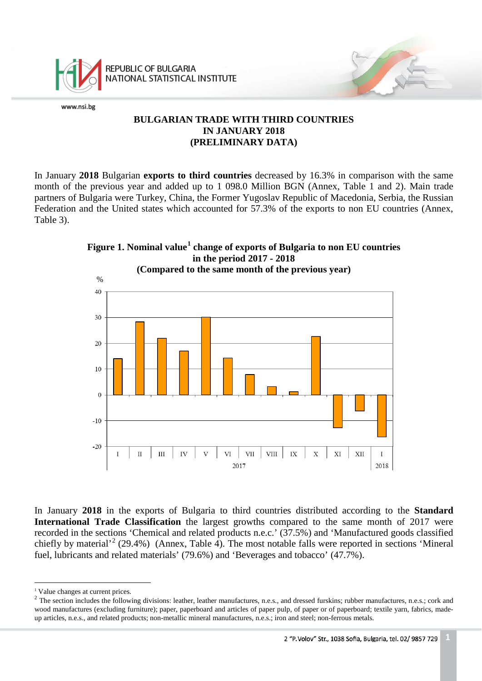

REPUBLIC OF BULGARIA NATIONAL STATISTICAL INSTITUTE

www.nsi.bg

### **BULGARIAN TRADE WITH THIRD COUNTRIES IN JANUARY 2018 (PRELIMINARY DATA)**

In January **2018** Bulgarian **exports to third countries** decreased by 16.3% in comparison with the same month of the previous year and added up to 1 098.0 Million BGN (Annex, Table 1 and 2). Main trade partners of Bulgaria were Turkey, China, the Former Yugoslav Republic of Macedonia, Serbia, the Russian Federation and the United states which accounted for 57.3% of the exports to non EU countries (Annex, Table 3).



**Figure 1. Nominal value[1](#page-0-0) change of exports of Bulgaria to non EU countries in the period 2017 - 2018**

In January **2018** in the exports of Bulgaria to third countries distributed according to the **Standard International Trade Classification** the largest growths compared to the same month of 2017 were recorded in the sections 'Chemical and related products n.e.c.' (37.5%) and 'Manufactured goods classified chiefly by material<sup>[2](#page-0-1)</sup> (29.4%) (Annex, Table 4). The most notable falls were reported in sections 'Mineral fuel, lubricants and related materials' (79.6%) and 'Beverages and tobacco' (47.7%).

i<br>İ <sup>1</sup> Value changes at current prices.

<span id="page-0-2"></span><span id="page-0-1"></span><span id="page-0-0"></span><sup>&</sup>lt;sup>2</sup> The section includes the following divisions: leather, leather manufactures, n.e.s., and dressed furskins; rubber manufactures, n.e.s.; cork and wood manufactures (excluding furniture); paper, paperboard and articles of paper pulp, of paper or of paperboard; textile yarn, fabrics, madeup articles, n.e.s., and related products; non-metallic mineral manufactures, n.e.s.; iron and steel; non-ferrous metals.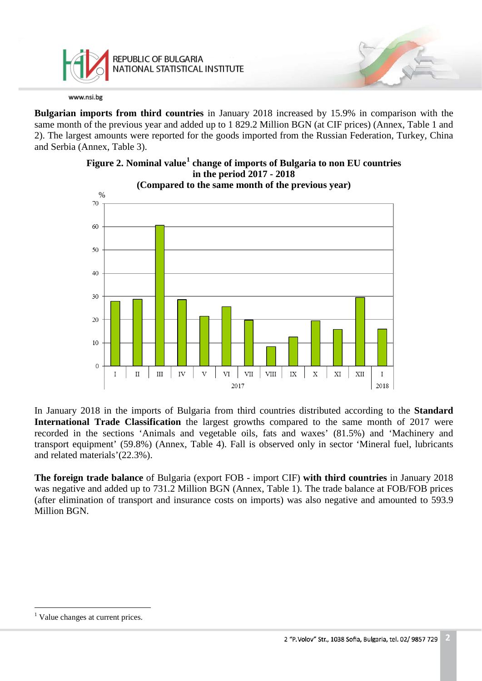

**Bulgarian imports from third countries** in January 2018 increased by 15.9% in comparison with the same month of the previous year and added up to 1 829.2 Million BGN (at CIF prices) (Annex, Table 1 and 2). The largest amounts were reported for the goods imported from the Russian Federation, Turkey, China and Serbia (Annex, Table 3).



# **Figure 2. Nominal value[1](#page-0-2) change of imports of Bulgaria to non EU countries in the period 2017 - 2018**

In January 2018 in the imports of Bulgaria from third countries distributed according to the **Standard International Trade Classification** the largest growths compared to the same month of 2017 were recorded in the sections 'Animals and vegetable oils, fats and waxes' (81.5%) and 'Machinery and transport equipment' (59.8%) (Annex, Table 4). Fall is observed only in sector 'Mineral fuel, lubricants and related materials'(22.3%).

**The foreign trade balance** of Bulgaria (export FOB - import CIF) **with third countries** in January 2018 was negative and added up to 731.2 Million BGN (Annex, Table 1). The trade balance at FOB/FOB prices (after elimination of transport and insurance costs on imports) was also negative and amounted to 593.9 Million BGN.

<span id="page-1-0"></span> $\frac{1}{1}$  $<sup>1</sup>$  Value changes at current prices.</sup>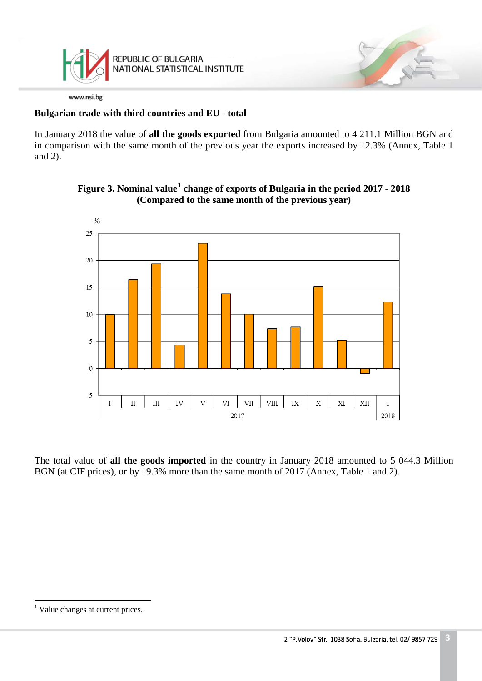

### **Bulgarian trade with third countries and EU - total**

In January 2018 the value of **all the goods exported** from Bulgaria amounted to 4 211.1 Million BGN and in comparison with the same month of the previous year the exports increased by 12.3% (Annex, Table 1 and 2).



### **Figure 3. Nominal value[1](#page-1-0) change of exports of Bulgaria in the period 2017 - 2018 (Compared to the same month of the previous year)**

The total value of **all the goods imported** in the country in January 2018 amounted to 5 044.3 Million BGN (at CIF prices), or by 19.3% more than the same month of 2017 (Annex, Table 1 and 2).

<span id="page-2-0"></span> $\frac{1}{\sqrt{2}}$  $<sup>1</sup>$  Value changes at current prices.</sup>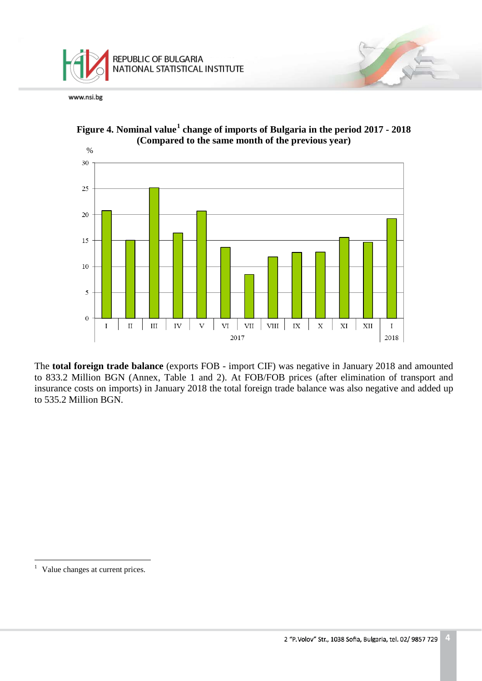





The **total foreign trade balance** (exports FOB - import CIF) was negative in January 2018 and amounted to 833.2 Million BGN (Annex, Table 1 and 2). At FOB/FOB prices (after elimination of transport and insurance costs on imports) in January 2018 the total foreign trade balance was also negative and added up to 535.2 Million BGN.

 $\frac{1}{\sqrt{2}}$ <sup>1</sup> Value changes at current prices.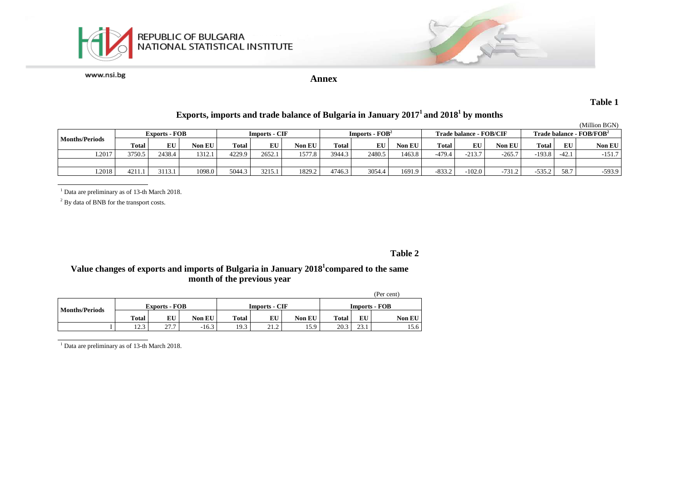



**Annex**

**Table 1**

## **Exports, imports and trade balance of Bulgaria in January 20171 and 20181 by months**

|                       |                      |        |        |                      |        |               |                  |        |        |                         |          |          |                                              |         | (Million BGN) |
|-----------------------|----------------------|--------|--------|----------------------|--------|---------------|------------------|--------|--------|-------------------------|----------|----------|----------------------------------------------|---------|---------------|
|                       | <b>Exports - FOB</b> |        |        | <b>Imports - CIF</b> |        |               | $Imports - FOB2$ |        |        | Trade balance - FOB/CIF |          |          | <b>Trade balance - <math>FOB/FOB2</math></b> |         |               |
| <b>Months/Periods</b> | Total                | EU     | Non EU | Total                | EU     | <b>Non EU</b> | Total 1          | EU     | Non EU | <b>Total</b>            | EU       | Non EU   | Total                                        | EU      | Non EU        |
| I.2017                | 3750.5               | 2438.4 | 1312.1 | 4229.9               | 2652.  | 1577.8        | 3944.3           | 2480.5 | 1463.8 | $-479.4$                | $-213.7$ | $-265.7$ | $-193.8$                                     | $-42.1$ | $-151.7$      |
|                       |                      |        |        |                      |        |               |                  |        |        |                         |          |          |                                              |         |               |
| I.2018                | 4211.                | 3113.1 | 1098.0 | 5044.3               | 3215.1 | 1829.2        | 4746.3           | 3054.4 | 1691.9 | $-833.2$                | $-102.0$ | $-731.2$ | $-535.2$                                     | 58.7    | $-593.9$      |

<sup>1</sup> Data are preliminary as of 13-th March 2018.

<sup>2</sup> By data of BNB for the transport costs.

#### **Table 2**

#### **Value changes of exports and imports of Bulgaria in January 2018<sup>1</sup> compared to the same month of the previous year**

|                       |               |                      |               |              |                      |                      |              |      | (Per cent)    |
|-----------------------|---------------|----------------------|---------------|--------------|----------------------|----------------------|--------------|------|---------------|
| <b>Months/Periods</b> |               | <b>Exports - FOB</b> |               |              | <b>Imports - CIF</b> | <b>Imports - FOB</b> |              |      |               |
|                       | <b>Total</b>  | EU                   | <b>Non EU</b> | <b>Total</b> | EU                   | <b>Non EU</b>        | <b>Total</b> | EU   | <b>Non EU</b> |
|                       | 122<br>ن که 1 | 27.7                 | $-16.3$       | 19.3         | 21.2                 | 15.9                 | 20.3         | 23.1 | 15.6          |

<sup>1</sup> Data are preliminary as of 13-th March 2018.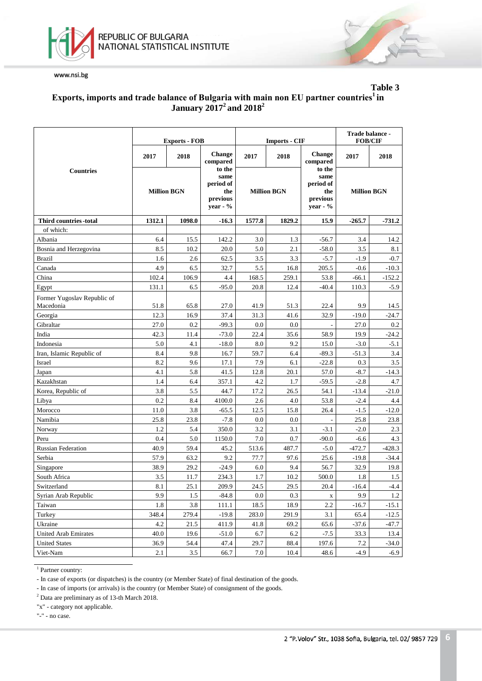



### **Table 3 Еxports, imports and trade balance of Bulgaria with main non EU partner countries1 in January 20172 and 20182**

|                                          |                    | <b>Exports - FOB</b> |                                                            |                    | <b>Imports - CIF</b> | Trade balance -<br><b>FOB/CIF</b>                          |                    |          |
|------------------------------------------|--------------------|----------------------|------------------------------------------------------------|--------------------|----------------------|------------------------------------------------------------|--------------------|----------|
|                                          | 2017               | 2018                 | <b>Change</b><br>compared                                  | 2017               | 2018                 | <b>Change</b><br>compared                                  | 2017               | 2018     |
| <b>Countries</b>                         | <b>Million BGN</b> |                      | to the<br>same<br>period of<br>the<br>previous<br>year - % | <b>Million BGN</b> |                      | to the<br>same<br>period of<br>the<br>previous<br>year - % | <b>Million BGN</b> |          |
| <b>Third countries -total</b>            | 1312.1             | 1098.0               | $-16.3$                                                    | 1577.8             | 1829.2               | 15.9                                                       | $-265.7$           | $-731.2$ |
| of which:                                |                    |                      |                                                            |                    |                      |                                                            |                    |          |
| Albania                                  | 6.4                | 15.5                 | 142.2                                                      | 3.0                | 1.3                  | $-56.7$                                                    | 3.4                | 14.2     |
| Bosnia and Herzegovina                   | 8.5                | 10.2                 | 20.0                                                       | 5.0                | 2.1                  | $-58.0$                                                    | 3.5                | 8.1      |
| <b>Brazil</b>                            | 1.6                | 2.6                  | 62.5                                                       | 3.5                | 3.3                  | $-5.7$                                                     | $-1.9$             | $-0.7$   |
| Canada                                   | 4.9                | 6.5                  | 32.7                                                       | 5.5                | 16.8                 | 205.5                                                      | $-0.6$             | $-10.3$  |
| China                                    | 102.4              | 106.9                | 4.4                                                        | 168.5              | 259.1                | 53.8                                                       | $-66.1$            | $-152.2$ |
| Egypt                                    | 131.1              | 6.5                  | $-95.0$                                                    | 20.8               | 12.4                 | $-40.4$                                                    | 110.3              | $-5.9$   |
| Former Yugoslav Republic of<br>Macedonia | 51.8               | 65.8                 | 27.0                                                       | 41.9               | 51.3                 | 22.4                                                       | 9.9                | 14.5     |
| Georgia                                  | 12.3               | 16.9                 | 37.4                                                       | 31.3               | 41.6                 | 32.9                                                       | $-19.0$            | $-24.7$  |
| Gibraltar                                | 27.0               | 0.2                  | $-99.3$                                                    | 0.0                | 0.0                  |                                                            | 27.0               | 0.2      |
| India                                    | 42.3               | 11.4                 | $-73.0$                                                    | 22.4               | 35.6                 | 58.9                                                       | 19.9               | $-24.2$  |
| Indonesia                                | 5.0                | 4.1                  | $-18.0$                                                    | 8.0                | 9.2                  | 15.0                                                       | $-3.0$             | $-5.1$   |
| Iran, Islamic Republic of                | 8.4                | 9.8                  | 16.7                                                       | 59.7               | 6.4                  | $-89.3$                                                    | $-51.3$            | 3.4      |
| Israel                                   | 8.2                | 9.6                  | 17.1                                                       | 7.9                | 6.1                  | $-22.8$                                                    | 0.3                | 3.5      |
| Japan                                    | 4.1                | 5.8                  | 41.5                                                       | 12.8               | 20.1                 | 57.0                                                       | $-8.7$             | $-14.3$  |
| Kazakhstan                               | 1.4                | 6.4                  | 357.1                                                      | 4.2                | 1.7                  | $-59.5$                                                    | $-2.8$             | 4.7      |
| Korea, Republic of                       | 3.8                | 5.5                  | 44.7                                                       | 17.2               | 26.5                 | 54.1                                                       | $-13.4$            | $-21.0$  |
| Libya                                    | 0.2                | 8.4                  | 4100.0                                                     | 2.6                | 4.0                  | 53.8                                                       | $-2.4$             | 4.4      |
| Morocco                                  | 11.0               | 3.8                  | -65.5                                                      | 12.5               | 15.8                 | 26.4                                                       | $-1.5$             | $-12.0$  |
| Namibia                                  | 25.8               | 23.8                 | $-7.8$                                                     | 0.0                | 0.0                  |                                                            | 25.8               | 23.8     |
| Norway                                   | 1.2                | 5.4                  | 350.0                                                      | 3.2                | 3.1                  | $-3.1$                                                     | $-2.0$             | 2.3      |
| Peru                                     | 0.4                | 5.0                  | 1150.0                                                     | $7.0\,$            | 0.7                  | $-90.0$                                                    | $-6.6$             | 4.3      |
| <b>Russian Federation</b>                | 40.9               | 59.4                 | 45.2                                                       | 513.6              | 487.7                | $-5.0$                                                     | $-472.7$           | $-428.3$ |
| Serbia                                   | 57.9               | 63.2                 | 9.2                                                        | 77.7               | 97.6                 | 25.6                                                       | $-19.8$            | $-34.4$  |
| Singapore                                | 38.9               | 29.2                 | $-24.9$                                                    | 6.0                | 9.4                  | 56.7                                                       | 32.9               | 19.8     |
| South Africa                             | 3.5                | 11.7                 | 234.3                                                      | 1.7                | 10.2                 | 500.0                                                      | 1.8                | 1.5      |
| Switzerland                              | 8.1                | 25.1                 | 209.9                                                      | 24.5               | 29.5                 | 20.4                                                       | $-16.4$            | $-4.4$   |
| Syrian Arab Republic                     | 9.9                | 1.5                  | $-84.8$                                                    | 0.0                | 0.3                  | $\mathbf X$                                                | 9.9                | 1.2      |
| Taiwan                                   | 1.8                | 3.8                  | 111.1                                                      | 18.5               | 18.9                 | 2.2                                                        | $-16.7$            | $-15.1$  |
| Turkey                                   | 348.4              | 279.4                | $-19.8$                                                    | 283.0              | 291.9                | 3.1                                                        | 65.4               | $-12.5$  |
| Ukraine                                  | 4.2                | 21.5                 | 411.9                                                      | 41.8               | 69.2                 | 65.6                                                       | $-37.6$            | -47.7    |
| <b>United Arab Emirates</b>              | 40.0               | 19.6                 | $-51.0$                                                    | 6.7                | 6.2                  | $-7.5$                                                     | 33.3               | 13.4     |
| <b>United States</b>                     | 36.9               | 54.4                 | 47.4                                                       | 29.7               | 88.4                 | 197.6                                                      | 7.2                | $-34.0$  |
| Viet-Nam                                 | 2.1                | 3.5                  | 66.7                                                       | 7.0                | 10.4                 | 48.6                                                       | $-4.9$             | $-6.9$   |

<sup>1</sup> Partner country:

- In case of exports (or dispatches) is the country (or Member State) of final destination of the goods.

- In case of imports (or arrivals) is the country (or Member State) of consignment of the goods.

<sup>2</sup> Data are preliminary as of 13-th March 2018.

"x" - category not applicable.

"-" - no case.